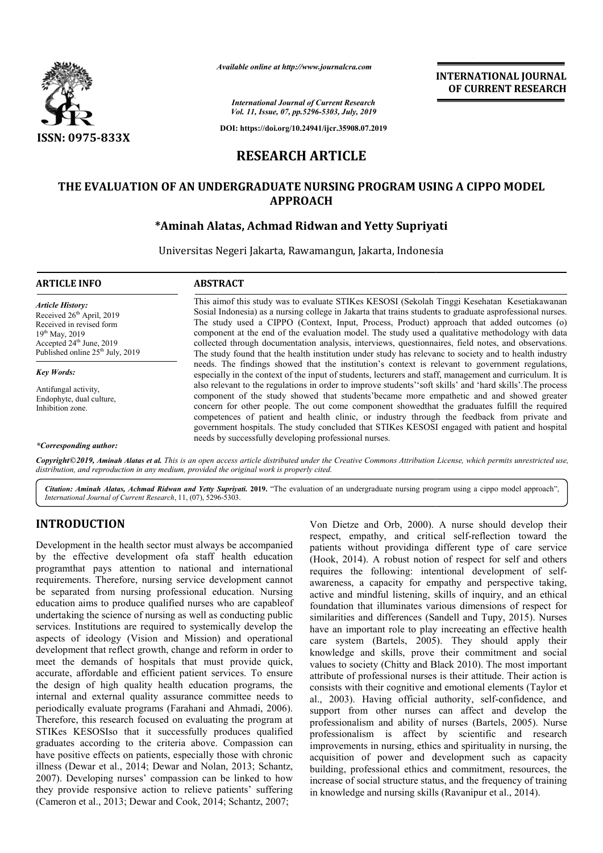

*Available online at http://www.journalcra.com*

**INTERNATIONAL JOURNAL OF CURRENT RESEARCH**

*International Journal of Current Research Vol. 11, Issue, 07, pp.5296-5303, July, 2019*

**DOI: https://doi.org/10.24941/ijcr.35908.07.2019**

# **RESEARCH ARTICLE**

# **THE EVALUATION OF AN UNDERGRADUATE NURSING PROGRAM USING A CIPPO MODEL APPROACH**

# **\*Aminah Alatas Aminah Alatas, Achmad Ridwan and Yetty Supriyati**

Universitas Negeri Jakarta, Rawamangun, Jakarta, Indonesia

| <b>ARTICLE INFO</b>                                                                                                                                                              | <b>ABSTRACT</b>                                                                                                                                                                                                                                                                                                                                                                                                                                                                                                                                                                                                                |  |
|----------------------------------------------------------------------------------------------------------------------------------------------------------------------------------|--------------------------------------------------------------------------------------------------------------------------------------------------------------------------------------------------------------------------------------------------------------------------------------------------------------------------------------------------------------------------------------------------------------------------------------------------------------------------------------------------------------------------------------------------------------------------------------------------------------------------------|--|
| Article History:<br>Received $26th$ April, 2019<br>Received in revised form<br>$19^{th}$ May, 2019<br>Accepted $24th$ June, 2019<br>Published online $25^{\text{th}}$ July, 2019 | This aimof this study was to evaluate STIKes KESOSI (Sekolah Tinggi Kesehatan Kesetiakawanan<br>Sosial Indonesia) as a nursing college in Jakarta that trains students to graduate asprofessional nurses.<br>The study used a CIPPO (Context, Input, Process, Product) approach that added outcomes (o)<br>component at the end of the evaluation model. The study used a qualitative methodology with data<br>collected through documentation analysis, interviews, questionnaires, field notes, and observations.<br>The study found that the health institution under study has relevance to society and to health industry |  |
| Key Words:                                                                                                                                                                       | needs. The findings showed that the institution's context is relevant to government regulations,<br>especially in the context of the input of students, lecturers and staff, management and curriculum. It is                                                                                                                                                                                                                                                                                                                                                                                                                  |  |
| Antifungal activity                                                                                                                                                              | also relevant to the regulations in order to improve students' soft skills' and 'hard skills'. The process                                                                                                                                                                                                                                                                                                                                                                                                                                                                                                                     |  |

Antifungal activity, Endophyte, dual culture, Inhibition zone.

#### *\*Corresponding author:*

Copyright©2019, Aminah Alatas et al. This is an open access article distributed under the Creative Commons Attribution License, which permits unrestricted use, *distribution, and reproduction in any medium, provided the original work is properly cited.*

needs by successfully developing professional nurses.

component of the study showed that students'became more empathetic and and showed greater component of the study showed that students' became more empathetic and and showed greater concern for other people. The out come component showed that the graduates fulfill the required competences of patient and health clinic, or industry through the feedback from private and competences of patient and health clinic, or industry through the feedback from private and government hospitals. The study concluded that STIKes KESOSI engaged with patient and hospital

Citation: Aminah Alatas, Achmad Ridwan and Yetty Supriyati. 2019. "The evaluation of an undergraduate nursing program using a cippo model approach", *International Journal of Current Research*, 11, (07), 5296 5296-5303.

### **INTRODUCTION**

Development in the health sector must always be accompanied by the effective development ofa staff health education programthat pays attention to national and international requirements. Therefore, nursing service development cannot be separated from nursing professional education. Nursing be separated from nursing professional education. Nursing education aims to produce qualified nurses who are capableof undertaking the science of nursing as well as conducting public services. Institutions are required to systemically develop the aspects of ideology (Vision and Mission) and operational development that reflect growth, change and reform in order to meet the demands of hospitals that must provide quick, accurate, affordable and efficient patient services. To ensure the design of high quality health education programs, the internal and external quality assurance committee needs to periodically evaluate programs (Farahani and Ahmadi, 2006). Therefore, this research focused on evaluating the program at STIKes KESOSIso that it successfully produces qualified graduates according to the criteria above. Compassion can have positive effects on patients, especially those with chronic illness (Dewar et al., 2014; Dewar and Nolan, 2013; Schantz, 2007). Developing nurses' compassion can be linked to how they provide responsive action to relieve patients' suffering (Cameron et al., 2013; Dewar and Cook, 2014; Schantz, 2007;

Von Dietze and Orb, 2000). 2000). A nurse should develop their respect, empathy, and critical self-reflection toward the patients without providinga different type of care service (Hook, 2014). A robust notion of respect for self and others requires the following: intentional development of selfawareness, a capacity for empathy and perspective taking, active and mindful listening, skills of inquiry, and an ethical foundation that illuminates various dimensions of respect for similarities and differences (Sandell and Tupy, 2015). Nurses have an important role to play increeating an effective health care system (Bartels, 2005). They should apply their knowledge and skills, prove their commitment and social values to society (Chitty and Black 2010). The most important attribute of professional nurses is their attitude. Their action is consists with their cognitive and emotional elements (Taylor et al., 2003). Having official authority, self-confidence, and support from other nurses can affect and develop the professionalism and ability of nurses (Bartels, 2005). Nurse professionalism is affect by scientific and research professionalism is affect by scientific and research improvements in nursing, ethics and spirituality in nursing, the acquisition of power and development such as capacity building, professional ethics and commitment, resources, the increase of social structure status, and the frequency of training in knowledge and nursing skills (Ravanipur et al., 2014). system (Bartels, 2005). They should apply their edge and skills, prove their commitment and social to society (Chitty and Black 2010). The most important the of professional nurses is their attitude. Their action is ts wit In of power and development such as capacity professional ethics and commitment, resources, the f social structure status, and the frequency of training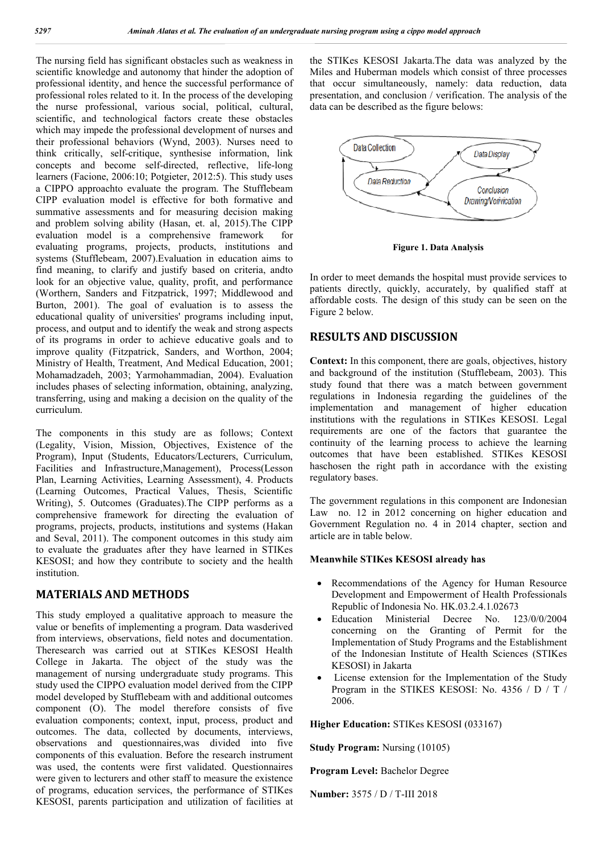The nursing field has significant obstacles such as weakness in scientific knowledge and autonomy that hinder the adoption of professional identity, and hence the successful performance of professional roles related to it. In the process of the developing the nurse professional, various social, political, cultural, scientific, and technological factors create these obstacles which may impede the professional development of nurses and their professional behaviors (Wynd, 2003). Nurses need to think critically, self-critique, synthesise information, link concepts and become self-directed, reflective, life-long learners (Facione, 2006:10; Potgieter, 2012:5). This study uses a CIPPO approachto evaluate the program. The Stufflebeam CIPP evaluation model is effective for both formative and summative assessments and for measuring decision making and problem solving ability (Hasan, et. al, 2015).The CIPP evaluation model is a comprehensive framework for evaluating programs, projects, products, institutions and systems (Stufflebeam, 2007).Evaluation in education aims to find meaning, to clarify and justify based on criteria, andto look for an objective value, quality, profit, and performance (Worthern, Sanders and Fitzpatrick, 1997; Middlewood and Burton, 2001). The goal of evaluation is to assess the educational quality of universities' programs including input, process, and output and to identify the weak and strong aspects of its programs in order to achieve educative goals and to improve quality (Fitzpatrick, Sanders, and Worthon, 2004; Ministry of Health, Treatment, And Medical Education, 2001; Mohamadzadeh, 2003; Yarmohammadian, 2004). Evaluation includes phases of selecting information, obtaining, analyzing, transferring, using and making a decision on the quality of the curriculum.

The components in this study are as follows; Context (Legality, Vision, Mission, Objectives, Existence of the Program), Input (Students, Educators/Lecturers, Curriculum, Facilities and Infrastructure,Management), Process(Lesson Plan, Learning Activities, Learning Assessment), 4. Products (Learning Outcomes, Practical Values, Thesis, Scientific Writing), 5. Outcomes (Graduates).The CIPP performs as a comprehensive framework for directing the evaluation of programs, projects, products, institutions and systems (Hakan and Seval, 2011). The component outcomes in this study aim to evaluate the graduates after they have learned in STIKes KESOSI; and how they contribute to society and the health institution.

### **MATERIALS AND METHODS**

This study employed a qualitative approach to measure the value or benefits of implementing a program. Data wasderived from interviews, observations, field notes and documentation. Theresearch was carried out at STIKes KESOSI Health College in Jakarta. The object of the study was the management of nursing undergraduate study programs. This study used the CIPPO evaluation model derived from the CIPP model developed by Stufflebeam with and additional outcomes component (O). The model therefore consists of five evaluation components; context, input, process, product and outcomes. The data, collected by documents, interviews, observations and questionnaires,was divided into five components of this evaluation. Before the research instrument was used, the contents were first validated. Questionnaires were given to lecturers and other staff to measure the existence of programs, education services, the performance of STIKes KESOSI, parents participation and utilization of facilities at

the STIKes KESOSI Jakarta.The data was analyzed by the Miles and Huberman models which consist of three processes that occur simultaneously, namely: data reduction, data presentation, and conclusion / verification. The analysis of the data can be described as the figure belows:



**Figure 1. Data Analysis**

In order to meet demands the hospital must provide services to patients directly, quickly, accurately, by qualified staff at affordable costs. The design of this study can be seen on the Figure 2 below.

## **RESULTS AND DISCUSSION**

**Context:** In this component, there are goals, objectives, history and background of the institution (Stufflebeam, 2003). This study found that there was a match between government regulations in Indonesia regarding the guidelines of the implementation and management of higher education institutions with the regulations in STIKes KESOSI. Legal requirements are one of the factors that guarantee the continuity of the learning process to achieve the learning outcomes that have been established. STIKes KESOSI haschosen the right path in accordance with the existing regulatory bases.

The government regulations in this component are Indonesian Law no. 12 in 2012 concerning on higher education and Government Regulation no. 4 in 2014 chapter, section and article are in table below.

### **Meanwhile STIKes KESOSI already has**

- Recommendations of the Agency for Human Resource Development and Empowerment of Health Professionals Republic of Indonesia No. HK.03.2.4.1.02673
- Education Ministerial Decree No. 123/0/0/2004 concerning on the Granting of Permit for the Implementation of Study Programs and the Establishment of the Indonesian Institute of Health Sciences (STIKes KESOSI) in Jakarta
- License extension for the Implementation of the Study Program in the STIKES KESOSI: No. 4356 / D / T / 2006.

**Higher Education:** STIKes KESOSI (033167)

**Study Program:** Nursing (10105)

**Program Level:** Bachelor Degree

**Number:** 3575 / D / T-III 2018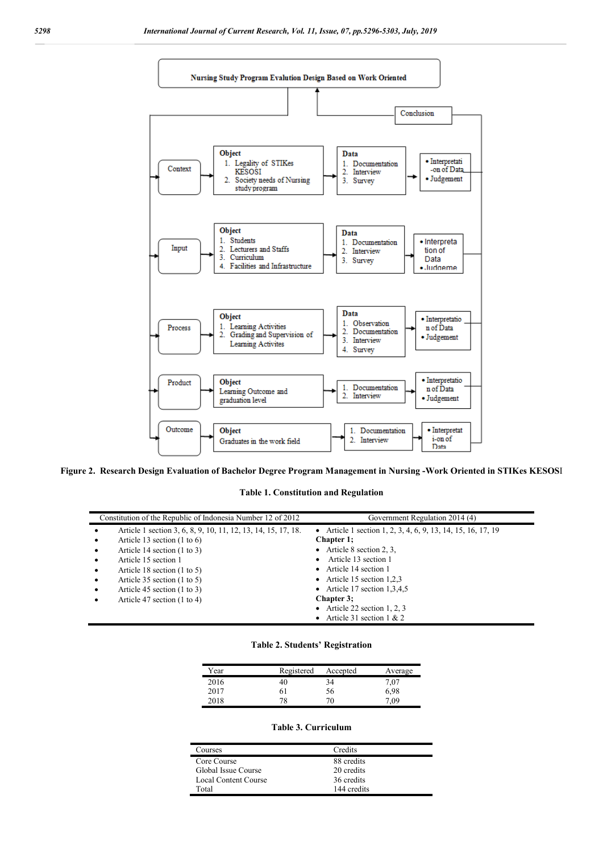

**Figure 2. Research Design Evaluation of Bachelor Degree Program Management in Nursing -Work Oriented in STIKes KESOS**I

### **Table 1. Constitution and Regulation**

| Constitution of the Republic of Indonesia Number 12 of 2012                | Government Regulation 2014 (4)                               |
|----------------------------------------------------------------------------|--------------------------------------------------------------|
| Article 1 section 3, 6, 8, 9, 10, 11, 12, 13, 14, 15, 17, 18.<br>$\bullet$ | • Article 1 section 1, 2, 3, 4, 6, 9, 13, 14, 15, 16, 17, 19 |
| Article 13 section $(1 to 6)$<br>$\bullet$                                 | Chapter 1;                                                   |
| Article 14 section $(1 \text{ to } 3)$<br>$\bullet$                        | • Article 8 section 2, 3,                                    |
| Article 15 section 1<br>$\bullet$                                          | Article 13 section 1<br>$\bullet$                            |
| Article 18 section $(1 \text{ to } 5)$<br>$\bullet$                        | • Article 14 section 1                                       |
| Article 35 section $(1 to 5)$<br>$\bullet$                                 | • Article 15 section $1,2,3$                                 |
| Article 45 section $(1 to 3)$<br>$\bullet$                                 | • Article 17 section $1,3,4,5$                               |
| Article 47 section $(1 to 4)$<br>$\bullet$                                 | Chapter 3:                                                   |
|                                                                            | • Article 22 section 1, 2, 3                                 |
|                                                                            | • Article 31 section $1 & 2$                                 |

#### **Table 2. Students' Registration**

| Year | Registered | Accepted | Average |
|------|------------|----------|---------|
| 2016 | 40         | 34       | 7.07    |
| 2017 | 61         | 56       | 6,98    |
| 2018 |            |          | 09      |

#### **Table 3. Curriculum**

| Courses              | Credits     |
|----------------------|-------------|
| Core Course          | 88 credits  |
| Global Issue Course  | 20 credits  |
| Local Content Course | 36 credits  |
| Total                | 144 credits |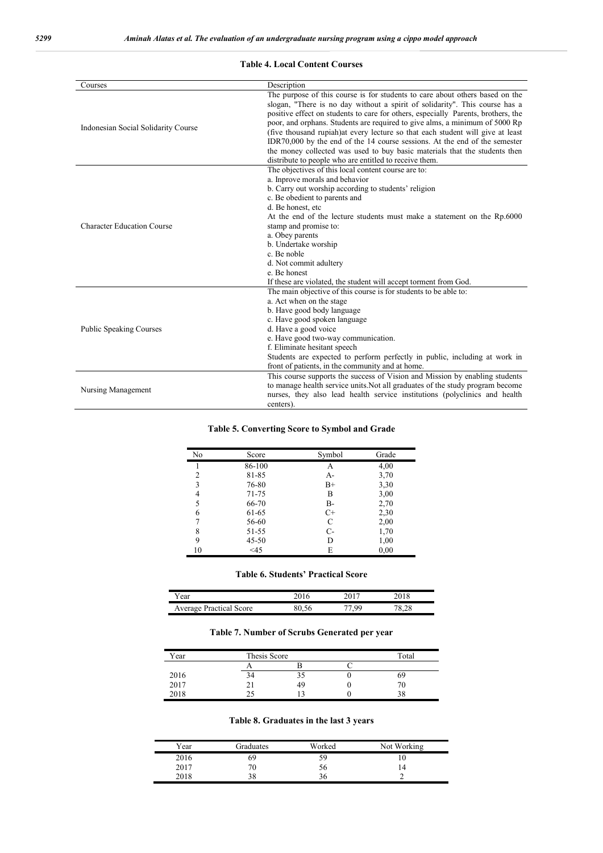| Courses                             | Description                                                                                                                                                                                                                                                                                                                                                                                                                                                                                                                                                                    |
|-------------------------------------|--------------------------------------------------------------------------------------------------------------------------------------------------------------------------------------------------------------------------------------------------------------------------------------------------------------------------------------------------------------------------------------------------------------------------------------------------------------------------------------------------------------------------------------------------------------------------------|
| Indonesian Social Solidarity Course | The purpose of this course is for students to care about others based on the<br>slogan, "There is no day without a spirit of solidarity". This course has a<br>positive effect on students to care for others, especially Parents, brothers, the<br>poor, and orphans. Students are required to give alms, a minimum of 5000 Rp<br>(five thousand rupiah) at every lecture so that each student will give at least<br>IDR70,000 by the end of the 14 course sessions. At the end of the semester<br>the money collected was used to buy basic materials that the students then |
|                                     | distribute to people who are entitled to receive them.                                                                                                                                                                                                                                                                                                                                                                                                                                                                                                                         |
|                                     | The objectives of this local content course are to:                                                                                                                                                                                                                                                                                                                                                                                                                                                                                                                            |
|                                     | a. Inprove morals and behavior                                                                                                                                                                                                                                                                                                                                                                                                                                                                                                                                                 |
|                                     | b. Carry out worship according to students' religion                                                                                                                                                                                                                                                                                                                                                                                                                                                                                                                           |
|                                     | c. Be obedient to parents and                                                                                                                                                                                                                                                                                                                                                                                                                                                                                                                                                  |
|                                     | d. Be honest, etc                                                                                                                                                                                                                                                                                                                                                                                                                                                                                                                                                              |
|                                     | At the end of the lecture students must make a statement on the Rp.6000                                                                                                                                                                                                                                                                                                                                                                                                                                                                                                        |
| <b>Character Education Course</b>   | stamp and promise to:                                                                                                                                                                                                                                                                                                                                                                                                                                                                                                                                                          |
|                                     | a. Obey parents                                                                                                                                                                                                                                                                                                                                                                                                                                                                                                                                                                |
|                                     | b. Undertake worship                                                                                                                                                                                                                                                                                                                                                                                                                                                                                                                                                           |
|                                     | c. Be noble                                                                                                                                                                                                                                                                                                                                                                                                                                                                                                                                                                    |
|                                     | d. Not commit adultery                                                                                                                                                                                                                                                                                                                                                                                                                                                                                                                                                         |
|                                     | e. Be honest                                                                                                                                                                                                                                                                                                                                                                                                                                                                                                                                                                   |
|                                     | If these are violated, the student will accept torment from God.                                                                                                                                                                                                                                                                                                                                                                                                                                                                                                               |
|                                     | The main objective of this course is for students to be able to:                                                                                                                                                                                                                                                                                                                                                                                                                                                                                                               |
|                                     | a. Act when on the stage                                                                                                                                                                                                                                                                                                                                                                                                                                                                                                                                                       |
|                                     | b. Have good body language                                                                                                                                                                                                                                                                                                                                                                                                                                                                                                                                                     |
|                                     | c. Have good spoken language                                                                                                                                                                                                                                                                                                                                                                                                                                                                                                                                                   |
| <b>Public Speaking Courses</b>      | d. Have a good voice                                                                                                                                                                                                                                                                                                                                                                                                                                                                                                                                                           |
|                                     | e. Have good two-way communication.                                                                                                                                                                                                                                                                                                                                                                                                                                                                                                                                            |
|                                     | f. Eliminate hesitant speech                                                                                                                                                                                                                                                                                                                                                                                                                                                                                                                                                   |
|                                     | Students are expected to perform perfectly in public, including at work in                                                                                                                                                                                                                                                                                                                                                                                                                                                                                                     |
|                                     | front of patients, in the community and at home.                                                                                                                                                                                                                                                                                                                                                                                                                                                                                                                               |
|                                     | This course supports the success of Vision and Mission by enabling students                                                                                                                                                                                                                                                                                                                                                                                                                                                                                                    |
| Nursing Management                  | to manage health service units. Not all graduates of the study program become                                                                                                                                                                                                                                                                                                                                                                                                                                                                                                  |
|                                     | nurses, they also lead health service institutions (polyclinics and health                                                                                                                                                                                                                                                                                                                                                                                                                                                                                                     |
|                                     | centers).                                                                                                                                                                                                                                                                                                                                                                                                                                                                                                                                                                      |

#### **Table 4. Local Content Courses**

### **Table 5. Converting Score to Symbol and Grade**

| No             | Score  | Symbol      | Grade |
|----------------|--------|-------------|-------|
|                | 86-100 | А           | 4,00  |
| 2              | 81-85  | A-          | 3,70  |
| 3              | 76-80  | $_{\rm B+}$ | 3,30  |
| $\overline{4}$ | 71-75  | В           | 3,00  |
| 5              | 66-70  | $B -$       | 2,70  |
| 6              | 61-65  | $C+$        | 2,30  |
| 7              | 56-60  | С           | 2,00  |
| 8              | 51-55  | C-          | 1,70  |
| 9              | 45-50  | D           | 1,00  |
| 10             | <45    | E           | 0,00  |

#### **Table 6. Students' Practical Score**

| r ear                          |   |     |        |
|--------------------------------|---|-----|--------|
| <b>Average Practical Score</b> | æ | -QQ | $\sim$ |

### **Table 7. Number of Scrubs Generated per year**

| Year | Thesis Score |    | Total |
|------|--------------|----|-------|
|      |              |    |       |
| 2016 | 34           |    | 69    |
| 2017 |              | 49 |       |
| 2018 |              |    | 38    |

### **Table 8. Graduates in the last 3 years**

| Year | Graduates | Worked | Not Working |
|------|-----------|--------|-------------|
| 2016 | 69        | 59     | ΙU          |
| 2017 |           | 56     |             |
| 2018 |           |        |             |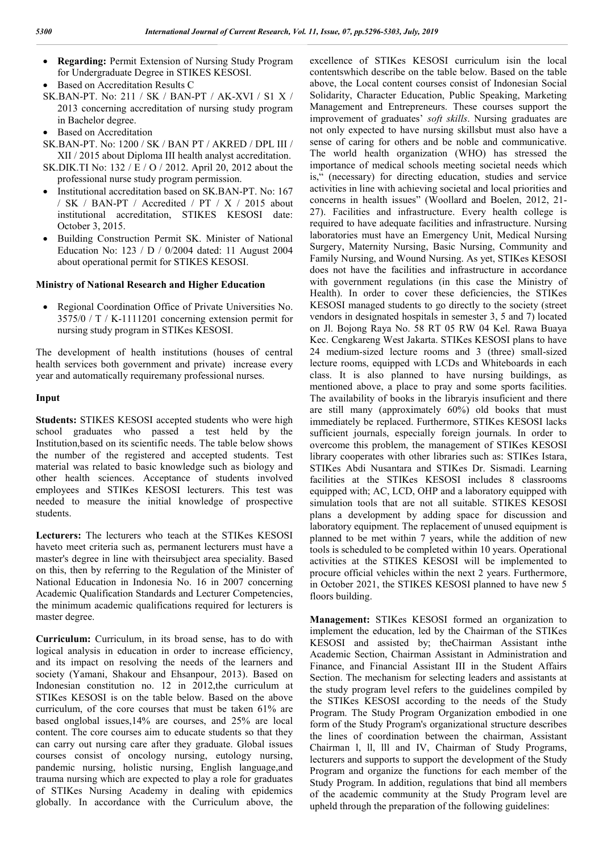- **Regarding:** Permit Extension of Nursing Study Program for Undergraduate Degree in STIKES KESOSI.
- Based on Accreditation Results C
- SK.BAN-PT. No: 211 / SK / BAN-PT / AK-XVI / S1 X / 2013 concerning accreditation of nursing study program in Bachelor degree.
- Based on Accreditation
- SK.BAN-PT. No: 1200 / SK / BAN PT / AKRED / DPL III / XII / 2015 about Diploma III health analyst accreditation.
- SK.DIK.TI No: 132 / E / O / 2012. April 20, 2012 about the professional nurse study program permission.
- Institutional accreditation based on SK.BAN-PT. No: 167 / SK / BAN-PT / Accredited / PT / X / 2015 about institutional accreditation, STIKES KESOSI date: October 3, 2015.
- Building Construction Permit SK. Minister of National Education No: 123 / D / 0/2004 dated: 11 August 2004 about operational permit for STIKES KESOSI.

#### **Ministry of National Research and Higher Education**

 Regional Coordination Office of Private Universities No. 3575/0 / T / K-1111201 concerning extension permit for nursing study program in STIKes KESOSI.

The development of health institutions (houses of central health services both government and private) increase every year and automatically requiremany professional nurses.

#### **Input**

**Students:** STIKES KESOSI accepted students who were high school graduates who passed a test held by the Institution,based on its scientific needs. The table below shows the number of the registered and accepted students. Test material was related to basic knowledge such as biology and other health sciences. Acceptance of students involved employees and STIKes KESOSI lecturers. This test was needed to measure the initial knowledge of prospective students.

**Lecturers:** The lecturers who teach at the STIKes KESOSI haveto meet criteria such as, permanent lecturers must have a master's degree in line with theirsubject area speciality. Based on this, then by referring to the Regulation of the Minister of National Education in Indonesia No. 16 in 2007 concerning Academic Qualification Standards and Lecturer Competencies, the minimum academic qualifications required for lecturers is master degree.

**Curriculum:** Curriculum, in its broad sense, has to do with logical analysis in education in order to increase efficiency, and its impact on resolving the needs of the learners and society (Yamani, Shakour and Ehsanpour, 2013). Based on Indonesian constitution no. 12 in 2012,the curriculum at STIKes KESOSI is on the table below. Based on the above curriculum, of the core courses that must be taken 61% are based onglobal issues,14% are courses, and 25% are local content. The core courses aim to educate students so that they can carry out nursing care after they graduate. Global issues courses consist of oncology nursing, eutology nursing, pandemic nursing, holistic nursing, English language,and trauma nursing which are expected to play a role for graduates of STIKes Nursing Academy in dealing with epidemics globally. In accordance with the Curriculum above, the

excellence of STIKes KESOSI curriculum isin the local contentswhich describe on the table below. Based on the table above, the Local content courses consist of Indonesian Social Solidarity, Character Education, Public Speaking, Marketing Management and Entrepreneurs. These courses support the improvement of graduates' *soft skills*. Nursing graduates are not only expected to have nursing skillsbut must also have a sense of caring for others and be noble and communicative. The world health organization (WHO) has stressed the importance of medical schools meeting societal needs which is," (necessary) for directing education, studies and service activities in line with achieving societal and local priorities and concerns in health issues" (Woollard and Boelen, 2012, 21- 27). Facilities and infrastructure. Every health college is required to have adequate facilities and infrastructure. Nursing laboratories must have an Emergency Unit, Medical Nursing Surgery, Maternity Nursing, Basic Nursing, Community and Family Nursing, and Wound Nursing. As yet, STIKes KESOSI does not have the facilities and infrastructure in accordance with government regulations (in this case the Ministry of Health). In order to cover these deficiencies, the STIKes KESOSI managed students to go directly to the society (street vendors in designated hospitals in semester 3, 5 and 7) located on Jl. Bojong Raya No. 58 RT 05 RW 04 Kel. Rawa Buaya Kec. Cengkareng West Jakarta. STIKes KESOSI plans to have 24 medium-sized lecture rooms and 3 (three) small-sized lecture rooms, equipped with LCDs and Whiteboards in each class. It is also planned to have nursing buildings, as mentioned above, a place to pray and some sports facilities. The availability of books in the libraryis insuficient and there are still many (approximately 60%) old books that must immediately be replaced. Furthermore, STIKes KESOSI lacks sufficient journals, especially foreign journals. In order to overcome this problem, the management of STIKes KESOSI library cooperates with other libraries such as: STIKes Istara, STIKes Abdi Nusantara and STIKes Dr. Sismadi. Learning facilities at the STIKes KESOSI includes 8 classrooms equipped with; AC, LCD, OHP and a laboratory equipped with simulation tools that are not all suitable. STIKES KESOSI plans a development by adding space for discussion and laboratory equipment. The replacement of unused equipment is planned to be met within 7 years, while the addition of new tools is scheduled to be completed within 10 years. Operational activities at the STIKES KESOSI will be implemented to procure official vehicles within the next 2 years. Furthermore, in October 2021, the STIKES KESOSI planned to have new 5 floors building.

**Management:** STIKes KESOSI formed an organization to implement the education, led by the Chairman of the STIKes KESOSI and assisted by; theChairman Assistant inthe Academic Section, Chairman Assistant in Administration and Finance, and Financial Assistant III in the Student Affairs Section. The mechanism for selecting leaders and assistants at the study program level refers to the guidelines compiled by the STIKes KESOSI according to the needs of the Study Program. The Study Program Organization embodied in one form of the Study Program's organizational structure describes the lines of coordination between the chairman, Assistant Chairman l, ll, lll and IV, Chairman of Study Programs, lecturers and supports to support the development of the Study Program and organize the functions for each member of the Study Program. In addition, regulations that bind all members of the academic community at the Study Program level are upheld through the preparation of the following guidelines: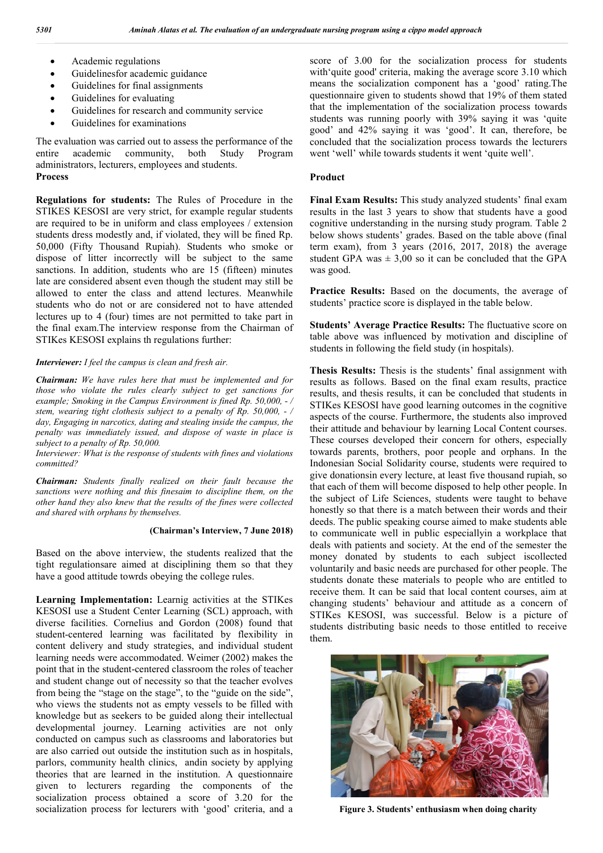- Academic regulations
- Guidelinesfor academic guidance
- Guidelines for final assignments
- Guidelines for evaluating
- Guidelines for research and community service
- Guidelines for examinations

The evaluation was carried out to assess the performance of the entire academic community, both Study Program administrators, lecturers, employees and students. **Process**

**Regulations for students:** The Rules of Procedure in the STIKES KESOSI are very strict, for example regular students are required to be in uniform and class employees / extension students dress modestly and, if violated, they will be fined Rp. 50,000 (Fifty Thousand Rupiah). Students who smoke or dispose of litter incorrectly will be subject to the same sanctions. In addition, students who are 15 (fifteen) minutes late are considered absent even though the student may still be allowed to enter the class and attend lectures. Meanwhile students who do not or are considered not to have attended lectures up to 4 (four) times are not permitted to take part in the final exam.The interview response from the Chairman of STIKes KESOSI explains th regulations further:

#### *Interviewer: I feel the campus is clean and fresh air.*

*Chairman: We have rules here that must be implemented and for those who violate the rules clearly subject to get sanctions for example; Smoking in the Campus Environment is fined Rp. 50,000, - / stem, wearing tight clothesis subject to a penalty of Rp. 50,000, - / day, Engaging in narcotics, dating and stealing inside the campus, the penalty was immediately issued, and dispose of waste in place is subject to a penalty of Rp. 50,000.*

*Interviewer: What is the response of students with fines and violations committed?*

*Chairman: Students finally realized on their fault because the sanctions were nothing and this finesaim to discipline them, on the other hand they also knew that the results of the fines were collected and shared with orphans by themselves.*

#### **(Chairman's Interview, 7 June 2018)**

Based on the above interview, the students realized that the tight regulationsare aimed at disciplining them so that they have a good attitude towrds obeying the college rules.

**Learning Implementation:** Learnig activities at the STIKes KESOSI use a Student Center Learning (SCL) approach, with diverse facilities. Cornelius and Gordon (2008) found that student-centered learning was facilitated by flexibility in content delivery and study strategies, and individual student learning needs were accommodated. Weimer (2002) makes the point that in the student-centered classroom the roles of teacher and student change out of necessity so that the teacher evolves from being the "stage on the stage", to the "guide on the side", who views the students not as empty vessels to be filled with knowledge but as seekers to be guided along their intellectual developmental journey. Learning activities are not only conducted on campus such as classrooms and laboratories but are also carried out outside the institution such as in hospitals, parlors, community health clinics, andin society by applying theories that are learned in the institution. A questionnaire given to lecturers regarding the components of the socialization process obtained a score of 3.20 for the socialization process for lecturers with 'good' criteria, and a

score of 3.00 for the socialization process for students with'quite good' criteria, making the average score 3.10 which means the socialization component has a 'good' rating.The questionnaire given to students showd that 19% of them stated that the implementation of the socialization process towards students was running poorly with 39% saying it was 'quite good' and 42% saying it was 'good'. It can, therefore, be concluded that the socialization process towards the lecturers went 'well' while towards students it went 'quite well'.

#### **Product**

**Final Exam Results:** This study analyzed students' final exam results in the last 3 years to show that students have a good cognitive understanding in the nursing study program. Table 2 below shows students' grades. Based on the table above (final term exam), from 3 years (2016, 2017, 2018) the average student GPA was  $\pm 3,00$  so it can be concluded that the GPA was good.

**Practice Results:** Based on the documents, the average of students' practice score is displayed in the table below.

**Students' Average Practice Results:** The fluctuative score on table above was influenced by motivation and discipline of students in following the field study (in hospitals).

**Thesis Results:** Thesis is the students' final assignment with results as follows. Based on the final exam results, practice results, and thesis results, it can be concluded that students in STIKes KESOSI have good learning outcomes in the cognitive aspects of the course. Furthermore, the students also improved their attitude and behaviour by learning Local Content courses. These courses developed their concern for others, especially towards parents, brothers, poor people and orphans. In the Indonesian Social Solidarity course, students were required to give donationsin every lecture, at least five thousand rupiah, so that each of them will become disposed to help other people. In the subject of Life Sciences, students were taught to behave honestly so that there is a match between their words and their deeds. The public speaking course aimed to make students able to communicate well in public especiallyin a workplace that deals with patients and society. At the end of the semester the money donated by students to each subject iscollected voluntarily and basic needs are purchased for other people. The students donate these materials to people who are entitled to receive them. It can be said that local content courses, aim at changing students' behaviour and attitude as a concern of STIKes KESOSI, was successful. Below is a picture of students distributing basic needs to those entitled to receive them.



**Figure 3. Students' enthusiasm when doing charity**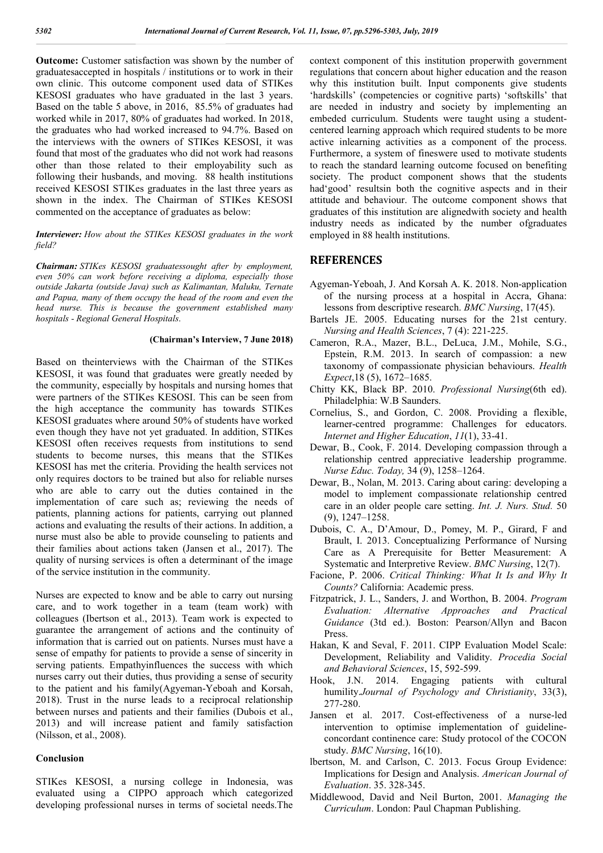**Outcome:** Customer satisfaction was shown by the number of graduatesaccepted in hospitals / institutions or to work in their own clinic. This outcome component used data of STIKes KESOSI graduates who have graduated in the last 3 years. Based on the table 5 above, in 2016, 85.5% of graduates had worked while in 2017, 80% of graduates had worked. In 2018, the graduates who had worked increased to 94.7%. Based on the interviews with the owners of STIKes KESOSI, it was found that most of the graduates who did not work had reasons other than those related to their employability such as following their husbands, and moving. 88 health institutions received KESOSI STIKes graduates in the last three years as shown in the index. The Chairman of STIKes KESOSI commented on the acceptance of graduates as below:

#### *Interviewer: How about the STIKes KESOSI graduates in the work field?*

*Chairman: STIKes KESOSI graduatessought after by employment, even 50% can work before receiving a diploma, especially those outside Jakarta (outside Java) such as Kalimantan, Maluku, Ternate and Papua, many of them occupy the head of the room and even the head nurse. This is because the government established many hospitals - Regional General Hospitals*.

#### **(Chairman's Interview, 7 June 2018)**

Based on theinterviews with the Chairman of the STIKes KESOSI, it was found that graduates were greatly needed by the community, especially by hospitals and nursing homes that were partners of the STIKes KESOSI. This can be seen from the high acceptance the community has towards STIKes KESOSI graduates where around 50% of students have worked even though they have not yet graduated. In addition, STIKes KESOSI often receives requests from institutions to send students to become nurses, this means that the STIKes KESOSI has met the criteria. Providing the health services not only requires doctors to be trained but also for reliable nurses who are able to carry out the duties contained in the implementation of care such as; reviewing the needs of patients, planning actions for patients, carrying out planned actions and evaluating the results of their actions. In addition, a nurse must also be able to provide counseling to patients and their families about actions taken (Jansen et al., 2017). The quality of nursing services is often a determinant of the image of the service institution in the community.

Nurses are expected to know and be able to carry out nursing care, and to work together in a team (team work) with colleagues (Ibertson et al., 2013). Team work is expected to guarantee the arrangement of actions and the continuity of information that is carried out on patients. Nurses must have a sense of empathy for patients to provide a sense of sincerity in serving patients. Empathyinfluences the success with which nurses carry out their duties, thus providing a sense of security to the patient and his family(Agyeman-Yeboah and Korsah, 2018). Trust in the nurse leads to a reciprocal relationship between nurses and patients and their families (Dubois et al., 2013) and will increase patient and family satisfaction (Nilsson, et al., 2008).

#### **Conclusion**

STIKes KESOSI, a nursing college in Indonesia, was evaluated using a CIPPO approach which categorized developing professional nurses in terms of societal needs.The context component of this institution properwith government regulations that concern about higher education and the reason why this institution built. Input components give students 'hardskills' (competencies or cognitive parts) 'softskills' that are needed in industry and society by implementing an embeded curriculum. Students were taught using a studentcentered learning approach which required students to be more active inlearning activities as a component of the process. Furthermore, a system of fineswere used to motivate students to reach the standard learning outcome focused on benefiting society. The product component shows that the students had'good' resultsin both the cognitive aspects and in their attitude and behaviour. The outcome component shows that graduates of this institution are alignedwith society and health industry needs as indicated by the number ofgraduates employed in 88 health institutions.

### **REFERENCES**

- Agyeman-Yeboah, J. And Korsah A. K. 2018. Non-application of the nursing process at a hospital in Accra, Ghana: lessons from descriptive research. *BMC Nursing*, 17(45).
- Bartels JE. 2005. Educating nurses for the 21st century. *Nursing and Health Sciences*, 7 (4): 221-225.
- Cameron, R.A., Mazer, B.L., DeLuca, J.M., Mohile, S.G., Epstein, R.M. 2013. In search of compassion: a new taxonomy of compassionate physician behaviours. *Health Expect*,18 (5), 1672–1685.
- Chitty KK, Black BP. 2010. *Professional Nursing*(6th ed). Philadelphia: W.B Saunders.
- Cornelius, S., and Gordon, C. 2008. Providing a flexible, learner-centred programme: Challenges for educators. *Internet and Higher Education*, *11*(1), 33-41.
- Dewar, B., Cook, F. 2014. Developing compassion through a relationship centred appreciative leadership programme. *Nurse Educ. Today,* 34 (9), 1258–1264.
- Dewar, B., Nolan, M. 2013. Caring about caring: developing a model to implement compassionate relationship centred care in an older people care setting. *Int. J. Nurs. Stud.* 50 (9), 1247–1258.
- Dubois, C. A., D'Amour, D., Pomey, M. P., Girard, F and Brault, I. 2013. Conceptualizing Performance of Nursing Care as A Prerequisite for Better Measurement: A Systematic and Interpretive Review. *BMC Nursing*, 12(7).
- Facione, P. 2006. *Critical Thinking: What It Is and Why It Counts?* California: Academic press.
- Fitzpatrick, J. L., Sanders, J. and Worthon, B. 2004. *Program Evaluation: Alternative Approaches and Practical Guidance* (3td ed.). Boston: Pearson/Allyn and Bacon Press.
- Hakan, K and Seval, F. 2011. CIPP Evaluation Model Scale: Development, Reliability and Validity. *Procedia Social and Behavioral Sciences*, 15, 592-599.
- Hook, J.N. 2014. Engaging patients with cultural humility.*Journal of Psychology and Christianity*, 33(3), 277-280.
- Jansen et al. 2017. Cost-effectiveness of a nurse-led intervention to optimise implementation of guidelineconcordant continence care: Study protocol of the COCON study. *BMC Nursing*, 16(10).
- lbertson, M. and Carlson, C. 2013. Focus Group Evidence: Implications for Design and Analysis. *American Journal of Evaluation*. 35. 328-345.
- Middlewood, David and Neil Burton, 2001. *Managing the Curriculum*. London: Paul Chapman Publishing.